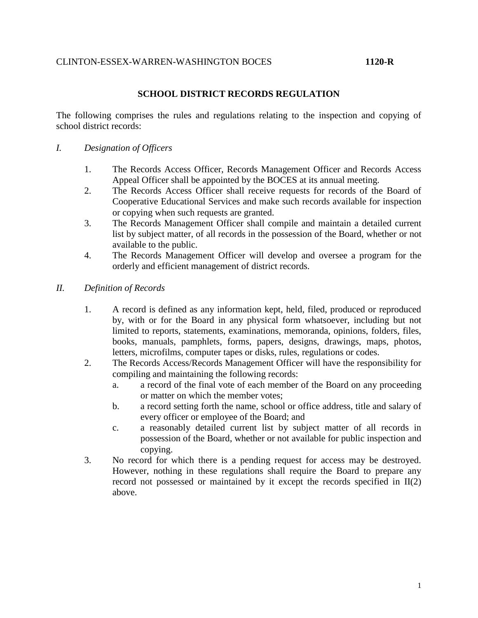### CLINTON-ESSEX-WARREN-WASHINGTON BOCES **1120-R**

## **SCHOOL DISTRICT RECORDS REGULATION**

The following comprises the rules and regulations relating to the inspection and copying of school district records:

- *I. Designation of Officers*
	- 1. The Records Access Officer, Records Management Officer and Records Access Appeal Officer shall be appointed by the BOCES at its annual meeting.
	- 2. The Records Access Officer shall receive requests for records of the Board of Cooperative Educational Services and make such records available for inspection or copying when such requests are granted.
	- 3. The Records Management Officer shall compile and maintain a detailed current list by subject matter, of all records in the possession of the Board, whether or not available to the public.
	- 4. The Records Management Officer will develop and oversee a program for the orderly and efficient management of district records.
- *II. Definition of Records*
	- 1. A record is defined as any information kept, held, filed, produced or reproduced by, with or for the Board in any physical form whatsoever, including but not limited to reports, statements, examinations, memoranda, opinions, folders, files, books, manuals, pamphlets, forms, papers, designs, drawings, maps, photos, letters, microfilms, computer tapes or disks, rules, regulations or codes.
	- 2. The Records Access/Records Management Officer will have the responsibility for compiling and maintaining the following records:
		- a. a record of the final vote of each member of the Board on any proceeding or matter on which the member votes;
		- b. a record setting forth the name, school or office address, title and salary of every officer or employee of the Board; and
		- c. a reasonably detailed current list by subject matter of all records in possession of the Board, whether or not available for public inspection and copying.
	- 3. No record for which there is a pending request for access may be destroyed. However, nothing in these regulations shall require the Board to prepare any record not possessed or maintained by it except the records specified in II(2) above.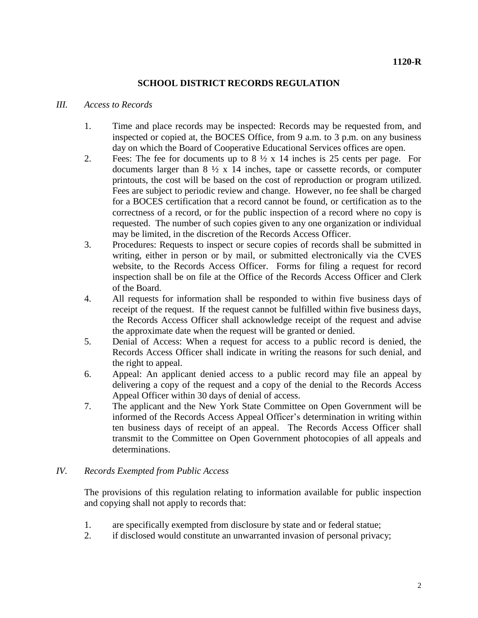# **SCHOOL DISTRICT RECORDS REGULATION**

#### *III. Access to Records*

- 1. Time and place records may be inspected: Records may be requested from, and inspected or copied at, the BOCES Office, from 9 a.m. to 3 p.m. on any business day on which the Board of Cooperative Educational Services offices are open.
- 2. Fees: The fee for documents up to  $8\frac{1}{2} \times 14$  inches is 25 cents per page. For documents larger than  $8 \frac{1}{2} \times 14$  inches, tape or cassette records, or computer printouts, the cost will be based on the cost of reproduction or program utilized. Fees are subject to periodic review and change. However, no fee shall be charged for a BOCES certification that a record cannot be found, or certification as to the correctness of a record, or for the public inspection of a record where no copy is requested. The number of such copies given to any one organization or individual may be limited, in the discretion of the Records Access Officer.
- 3. Procedures: Requests to inspect or secure copies of records shall be submitted in writing, either in person or by mail, or submitted electronically via the CVES website, to the Records Access Officer. Forms for filing a request for record inspection shall be on file at the Office of the Records Access Officer and Clerk of the Board.
- 4. All requests for information shall be responded to within five business days of receipt of the request. If the request cannot be fulfilled within five business days, the Records Access Officer shall acknowledge receipt of the request and advise the approximate date when the request will be granted or denied.
- 5. Denial of Access: When a request for access to a public record is denied, the Records Access Officer shall indicate in writing the reasons for such denial, and the right to appeal.
- 6. Appeal: An applicant denied access to a public record may file an appeal by delivering a copy of the request and a copy of the denial to the Records Access Appeal Officer within 30 days of denial of access.
- 7. The applicant and the New York State Committee on Open Government will be informed of the Records Access Appeal Officer's determination in writing within ten business days of receipt of an appeal. The Records Access Officer shall transmit to the Committee on Open Government photocopies of all appeals and determinations.

## *IV. Records Exempted from Public Access*

The provisions of this regulation relating to information available for public inspection and copying shall not apply to records that:

- 1. are specifically exempted from disclosure by state and or federal statue;
- 2. if disclosed would constitute an unwarranted invasion of personal privacy;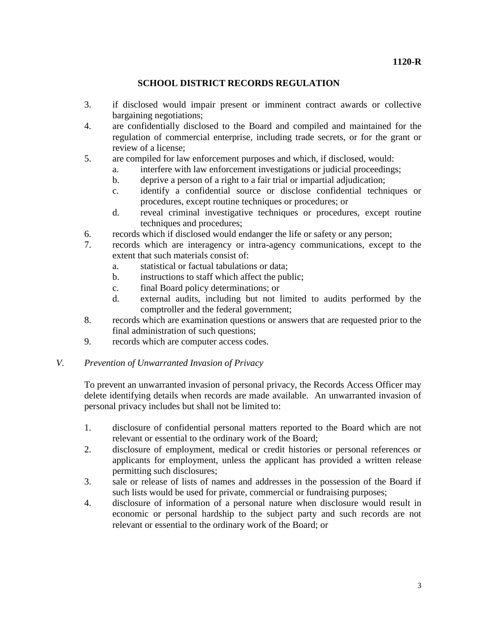# **SCHOOL DISTRICT RECORDS REGULATION**

- 3. if disclosed would impair present or imminent contract awards or collective bargaining negotiations;
- 4. are confidentially disclosed to the Board and compiled and maintained for the regulation of commercial enterprise, including trade secrets, or for the grant or review of a license;
- 5. are compiled for law enforcement purposes and which, if disclosed, would:
	- a. interfere with law enforcement investigations or judicial proceedings;
	- b. deprive a person of a right to a fair trial or impartial adjudication;
	- c. identify a confidential source or disclose confidential techniques or procedures, except routine techniques or procedures; or
	- d. reveal criminal investigative techniques or procedures, except routine techniques and procedures;
- 6. records which if disclosed would endanger the life or safety or any person;
- 7. records which are interagency or intra-agency communications, except to the extent that such materials consist of:
	- a. statistical or factual tabulations or data;
	- b. instructions to staff which affect the public;
	- c. final Board policy determinations; or
	- d. external audits, including but not limited to audits performed by the comptroller and the federal government;
- 8. records which are examination questions or answers that are requested prior to the final administration of such questions;
- 9. records which are computer access codes.

## *V. Prevention of Unwarranted Invasion of Privacy*

To prevent an unwarranted invasion of personal privacy, the Records Access Officer may delete identifying details when records are made available. An unwarranted invasion of personal privacy includes but shall not be limited to:

- 1. disclosure of confidential personal matters reported to the Board which are not relevant or essential to the ordinary work of the Board;
- 2. disclosure of employment, medical or credit histories or personal references or applicants for employment, unless the applicant has provided a written release permitting such disclosures;
- 3. sale or release of lists of names and addresses in the possession of the Board if such lists would be used for private, commercial or fundraising purposes;
- 4. disclosure of information of a personal nature when disclosure would result in economic or personal hardship to the subject party and such records are not relevant or essential to the ordinary work of the Board; or